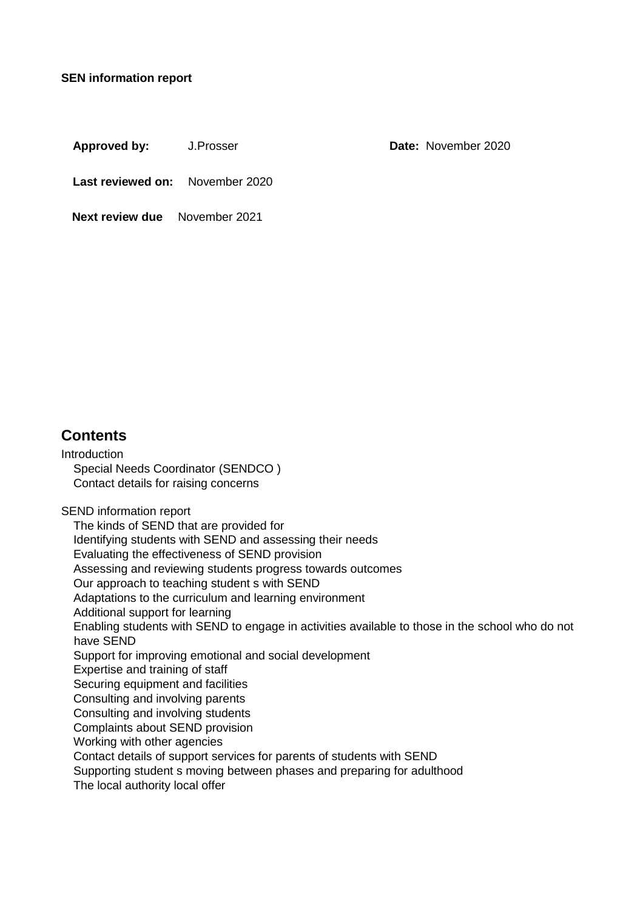#### **SEN information report**

Approved by: J.Prosser **Date:** November 2020

**Last reviewed on:** November 2020

**Next review due** November 2021

## **Contents**

**Introduction** Special Needs Coordinator (SENDCO ) Contact details for raising concerns SEND information report The kinds of SEND that are provided for Identifying students with SEND and assessing their needs Evaluating the effectiveness of SEND provision Assessing and reviewing students progress towards outcomes Our approach to teaching student s with SEND Adaptations to the curriculum and learning environment Additional support for learning Enabling students with SEND to engage in activities available to those in the school who do not have SEND Support for improving emotional and social development Expertise and training of staff Securing equipment and facilities Consulting and involving parents Consulting and involving students Complaints about SEND provision Working with other agencies Contact details of support services for parents of students with SEND Supporting student s moving between phases and preparing for adulthood The local authority local offer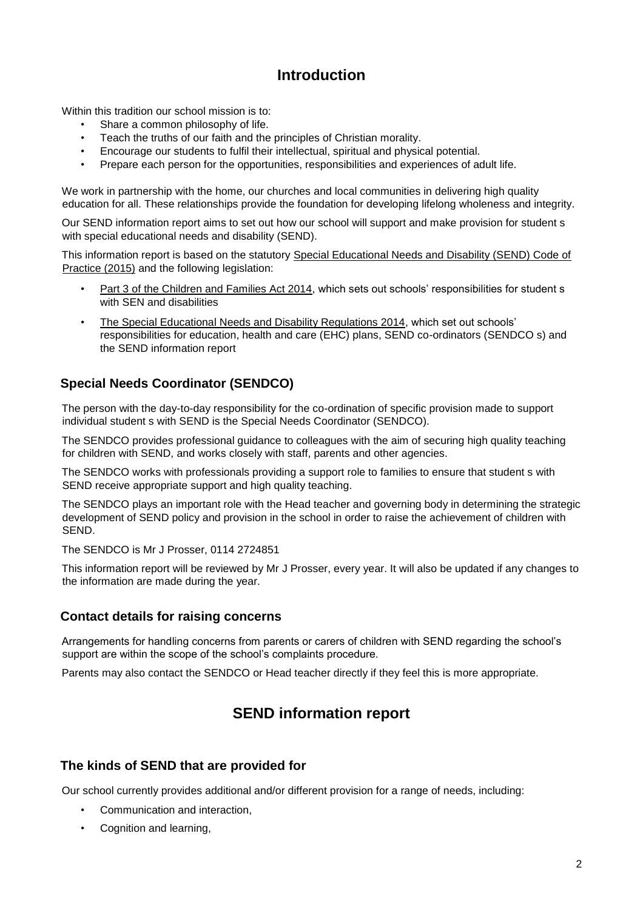# **Introduction**

Within this tradition our school mission is to:

- Share a common philosophy of life.
- Teach the truths of our faith and the principles of Christian morality.
- Encourage our students to fulfil their intellectual, spiritual and physical potential.
- Prepare each person for the opportunities, responsibilities and experiences of adult life.

We work in partnership with the home, our churches and local communities in delivering high quality education for all. These relationships provide the foundation for developing lifelong wholeness and integrity.

Our SEND information report aims to set out how our school will support and make provision for student s with special educational needs and disability (SEND).

This information report is based on the statutory [Special Educational Needs and Disability \(SEND\) Code of](https://www.gov.uk/government/uploads/system/uploads/attachment_data/file/398815/SEND_Code_of_Practice_January_2015.pdf) [Practice](https://www.gov.uk/government/uploads/system/uploads/attachment_data/file/398815/SEND_Code_of_Practice_January_2015.pdf) [\(](https://www.gov.uk/government/uploads/system/uploads/attachment_data/file/398815/SEND_Code_of_Practice_January_2015.pdf)2015) and the following legislation:

- [Part 3 of the Children and Families Act 2014,](http://www.legislation.gov.uk/ukpga/2014/6/part/3) which sets out schools' responsibilities for student s with SEN and disabilities
- [The Special Educational Needs and Disability Regulations 2014,](http://www.legislation.gov.uk/uksi/2014/1530/contents/made) which set out schools' responsibilities for education, health and care (EHC) plans, SEND co-ordinators (SENDCO s) and the SEND information report

### **Special Needs Coordinator (SENDCO)**

The person with the day-to-day responsibility for the co-ordination of specific provision made to support individual student s with SEND is the Special Needs Coordinator (SENDCO).

The SENDCO provides professional guidance to colleagues with the aim of securing high quality teaching for children with SEND, and works closely with staff, parents and other agencies.

The SENDCO works with professionals providing a support role to families to ensure that student s with SEND receive appropriate support and high quality teaching.

The SENDCO plays an important role with the Head teacher and governing body in determining the strategic development of SEND policy and provision in the school in order to raise the achievement of children with SEND.

The SENDCO is Mr J Prosser, 0114 2724851

This information report will be reviewed by Mr J Prosser, every year. It will also be updated if any changes to the information are made during the year.

#### **Contact details for raising concerns**

Arrangements for handling concerns from parents or carers of children with SEND regarding the school's support are within the scope of the school's complaints procedure.

Parents may also contact the SENDCO or Head teacher directly if they feel this is more appropriate.

## **SEND information report**

#### **The kinds of SEND that are provided for**

Our school currently provides additional and/or different provision for a range of needs, including:

- Communication and interaction,
- Cognition and learning,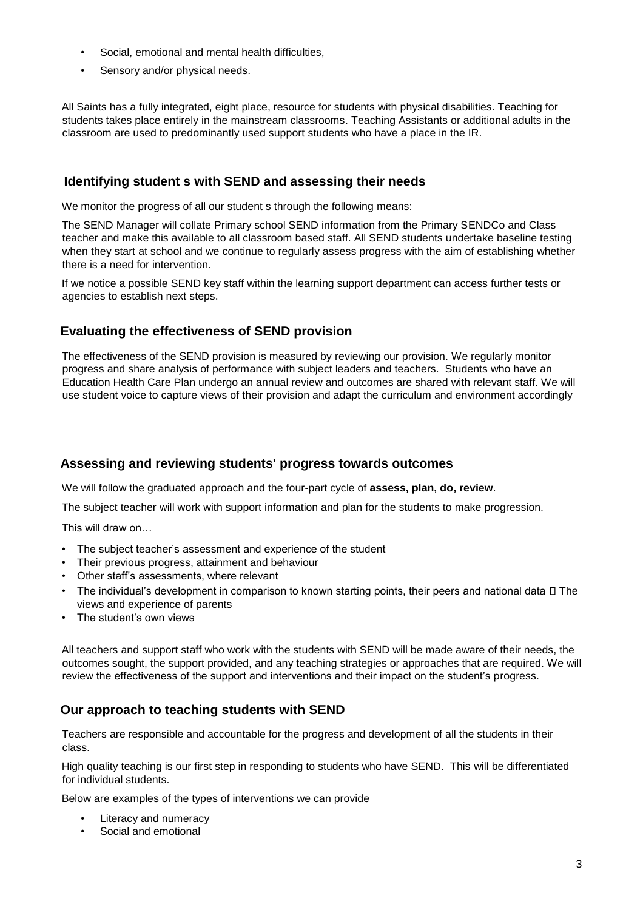- Social, emotional and mental health difficulties,
- Sensory and/or physical needs.

All Saints has a fully integrated, eight place, resource for students with physical disabilities. Teaching for students takes place entirely in the mainstream classrooms. Teaching Assistants or additional adults in the classroom are used to predominantly used support students who have a place in the IR.

#### **Identifying student s with SEND and assessing their needs**

We monitor the progress of all our student s through the following means:

The SEND Manager will collate Primary school SEND information from the Primary SENDCo and Class teacher and make this available to all classroom based staff. All SEND students undertake baseline testing when they start at school and we continue to regularly assess progress with the aim of establishing whether there is a need for intervention.

If we notice a possible SEND key staff within the learning support department can access further tests or agencies to establish next steps.

### **Evaluating the effectiveness of SEND provision**

The effectiveness of the SEND provision is measured by reviewing our provision. We regularly monitor progress and share analysis of performance with subject leaders and teachers. Students who have an Education Health Care Plan undergo an annual review and outcomes are shared with relevant staff. We will use student voice to capture views of their provision and adapt the curriculum and environment accordingly

#### **Assessing and reviewing students' progress towards outcomes**

We will follow the graduated approach and the four-part cycle of **assess, plan, do, review**.

The subject teacher will work with support information and plan for the students to make progression.

This will draw on…

- The subject teacher's assessment and experience of the student
- Their previous progress, attainment and behaviour
- Other staff's assessments, where relevant
- The individual's development in comparison to known starting points, their peers and national data  $\square$  The views and experience of parents
- The student's own views

All teachers and support staff who work with the students with SEND will be made aware of their needs, the outcomes sought, the support provided, and any teaching strategies or approaches that are required. We will review the effectiveness of the support and interventions and their impact on the student's progress.

#### **Our approach to teaching students with SEND**

Teachers are responsible and accountable for the progress and development of all the students in their class.

High quality teaching is our first step in responding to students who have SEND. This will be differentiated for individual students.

Below are examples of the types of interventions we can provide

- Literacy and numeracy
- Social and emotional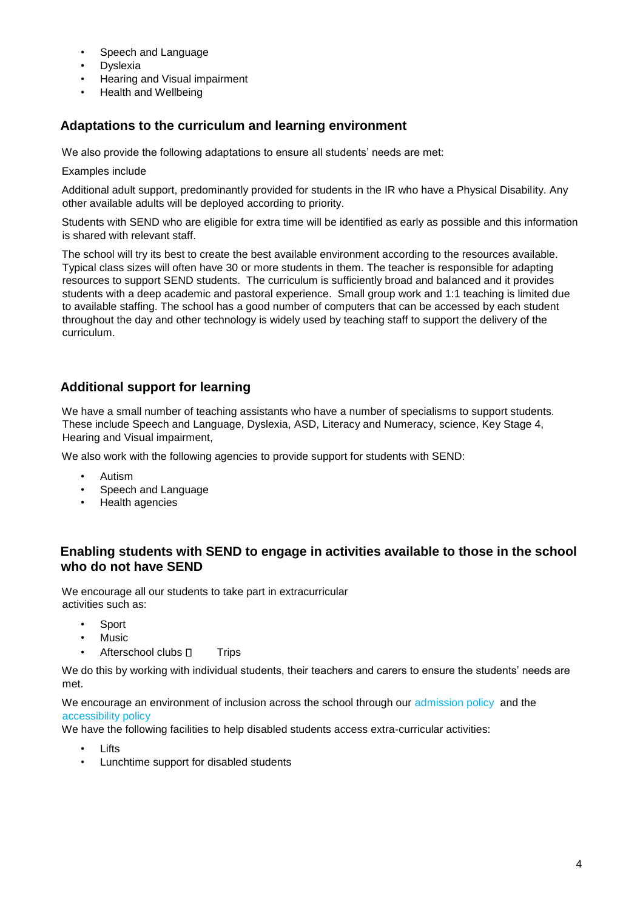- Speech and Language
- **Dyslexia**
- Hearing and Visual impairment
- Health and Wellbeing

#### **Adaptations to the curriculum and learning environment**

We also provide the following adaptations to ensure all students' needs are met:

Examples include

Additional adult support, predominantly provided for students in the IR who have a Physical Disability. Any other available adults will be deployed according to priority.

Students with SEND who are eligible for extra time will be identified as early as possible and this information is shared with relevant staff.

The school will try its best to create the best available environment according to the resources available. Typical class sizes will often have 30 or more students in them. The teacher is responsible for adapting resources to support SEND students. The curriculum is sufficiently broad and balanced and it provides students with a deep academic and pastoral experience. Small group work and 1:1 teaching is limited due to available staffing. The school has a good number of computers that can be accessed by each student throughout the day and other technology is widely used by teaching staff to support the delivery of the curriculum.

#### **Additional support for learning**

We have a small number of teaching assistants who have a number of specialisms to support students. These include Speech and Language, Dyslexia, ASD, Literacy and Numeracy, science, Key Stage 4, Hearing and Visual impairment,

We also work with the following agencies to provide support for students with SEND:

- Autism
- Speech and Language
- Health agencies

#### **Enabling students with SEND to engage in activities available to those in the school who do not have SEND**

We encourage all our students to take part in extracurricular activities such as:

- **Sport**
- Music
- Afterschool clubs  $\Box$  Trips

We do this by working with individual students, their teachers and carers to ensure the students' needs are met.

We encourage an environment of inclusion across the school through our [admission policy](https://www.allsaints.sheffield.sch.uk/admissions/) and the [accessibility policy](https://www.allsaints.sheffield.sch.uk/wp-content/uploads/2018/07/AccessibilityPlan17.pdf)

We have the following facilities to help disabled students access extra-curricular activities:

- **Lifts**
- Lunchtime support for disabled students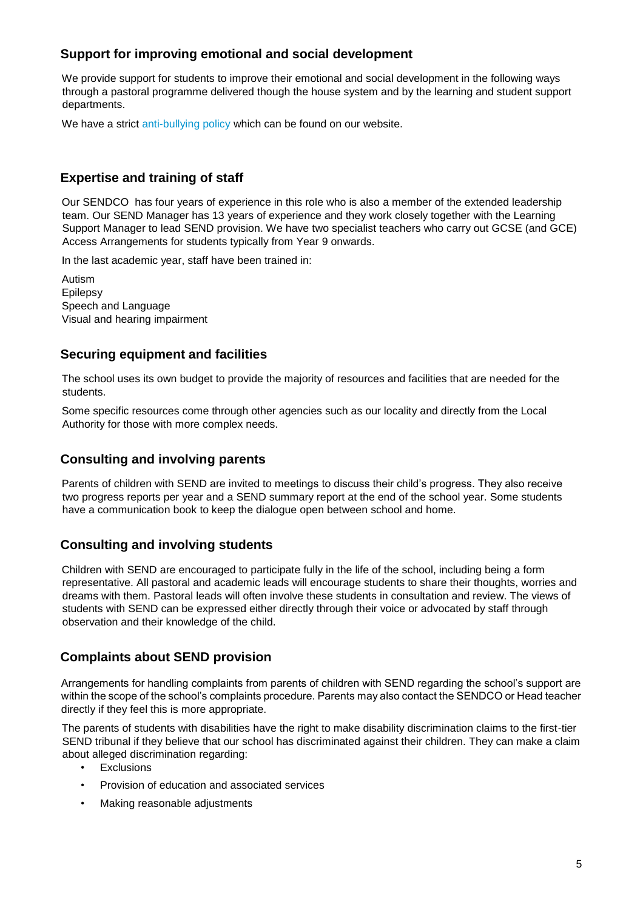### **Support for improving emotional and social development**

We provide support for students to improve their emotional and social development in the following ways through a pastoral programme delivered though the house system and by the learning and student support departments.

We have a strict [anti-bullying policy](https://www.allsaints.sheffield.sch.uk/wp-content/uploads/2019/10/Anti-bullying-policy-Oct2019-R2021.pdf) which can be found on our website.

## **Expertise and training of staff**

Our SENDCO has four years of experience in this role who is also a member of the extended leadership team. Our SEND Manager has 13 years of experience and they work closely together with the Learning Support Manager to lead SEND provision. We have two specialist teachers who carry out GCSE (and GCE) Access Arrangements for students typically from Year 9 onwards.

In the last academic year, staff have been trained in:

Autism Epilepsy Speech and Language Visual and hearing impairment

#### **Securing equipment and facilities**

The school uses its own budget to provide the majority of resources and facilities that are needed for the students.

Some specific resources come through other agencies such as our locality and directly from the Local Authority for those with more complex needs.

#### **Consulting and involving parents**

Parents of children with SEND are invited to meetings to discuss their child's progress. They also receive two progress reports per year and a SEND summary report at the end of the school year. Some students have a communication book to keep the dialogue open between school and home.

#### **Consulting and involving students**

Children with SEND are encouraged to participate fully in the life of the school, including being a form representative. All pastoral and academic leads will encourage students to share their thoughts, worries and dreams with them. Pastoral leads will often involve these students in consultation and review. The views of students with SEND can be expressed either directly through their voice or advocated by staff through observation and their knowledge of the child.

#### **Complaints about SEND provision**

Arrangements for handling complaints from parents of children with SEND regarding the school's support are within the scope of the school's complaints procedure. Parents may also contact the SENDCO or Head teacher directly if they feel this is more appropriate.

The parents of students with disabilities have the right to make disability discrimination claims to the first-tier SEND tribunal if they believe that our school has discriminated against their children. They can make a claim about alleged discrimination regarding:

- Exclusions
- Provision of education and associated services
- Making reasonable adjustments